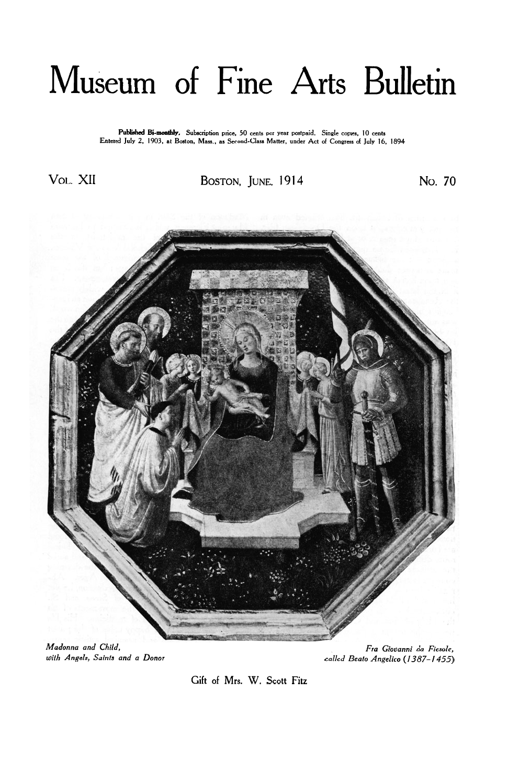## Museum of Fine Arts Bulletin

P**ublished Bi-monthly、** Subscription price, 50 cents per year postpaid,Single copies, 10 cents<br>Entered July 2, 1903, at Boston, Mass., as Second-Class Matter, under Act of Congress of July 16, 1894

Vol. XII BOSTON, JUNE, **1914** No. **70** 



*Madonna and Child, with Angels, Saints and a Donor* 

*Fra Giovanni da Fiesole, called Beato Angelico (1387-1455)* 

Gift **of** Mrs. W. **Scott Fitz**